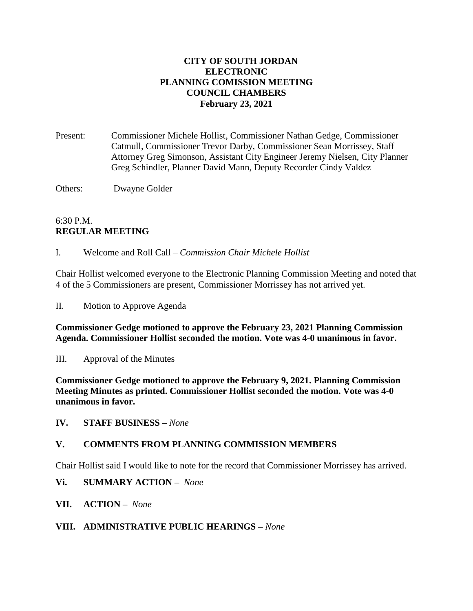## **CITY OF SOUTH JORDAN ELECTRONIC PLANNING COMISSION MEETING COUNCIL CHAMBERS February 23, 2021**

Present: Commissioner Michele Hollist, Commissioner Nathan Gedge, Commissioner Catmull, Commissioner Trevor Darby, Commissioner Sean Morrissey, Staff Attorney Greg Simonson, Assistant City Engineer Jeremy Nielsen, City Planner Greg Schindler, Planner David Mann, Deputy Recorder Cindy Valdez

Others: Dwayne Golder

# 6:30 P.M. **REGULAR MEETING**

I. Welcome and Roll Call – *Commission Chair Michele Hollist*

Chair Hollist welcomed everyone to the Electronic Planning Commission Meeting and noted that 4 of the 5 Commissioners are present, Commissioner Morrissey has not arrived yet.

II. Motion to Approve Agenda

**Commissioner Gedge motioned to approve the February 23, 2021 Planning Commission Agenda. Commissioner Hollist seconded the motion. Vote was 4-0 unanimous in favor.**

III. Approval of the Minutes

**Commissioner Gedge motioned to approve the February 9, 2021. Planning Commission Meeting Minutes as printed. Commissioner Hollist seconded the motion. Vote was 4-0 unanimous in favor.**

**IV. STAFF BUSINESS –** *None*

#### **V. COMMENTS FROM PLANNING COMMISSION MEMBERS**

Chair Hollist said I would like to note for the record that Commissioner Morrissey has arrived.

**Vi. SUMMARY ACTION –** *None*

**VII. ACTION –** *None*

#### **VIII. ADMINISTRATIVE PUBLIC HEARINGS –** *None*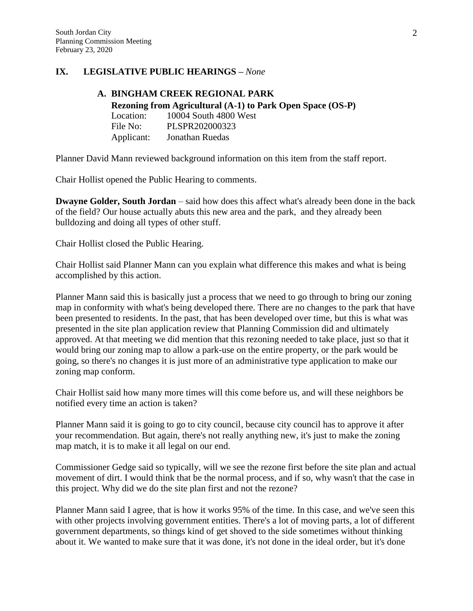## **IX. LEGISLATIVE PUBLIC HEARINGS –** *None*

#### **A. BINGHAM CREEK REGIONAL PARK Rezoning from Agricultural (A-1) to Park Open Space (OS-P)** Location: 10004 South 4800 West File No: PLSPR202000323 Applicant: Jonathan Ruedas

Planner David Mann reviewed background information on this item from the staff report.

Chair Hollist opened the Public Hearing to comments.

**Dwayne Golder, South Jordan** – said how does this affect what's already been done in the back of the field? Our house actually abuts this new area and the park, and they already been bulldozing and doing all types of other stuff.

Chair Hollist closed the Public Hearing.

Chair Hollist said Planner Mann can you explain what difference this makes and what is being accomplished by this action.

Planner Mann said this is basically just a process that we need to go through to bring our zoning map in conformity with what's being developed there. There are no changes to the park that have been presented to residents. In the past, that has been developed over time, but this is what was presented in the site plan application review that Planning Commission did and ultimately approved. At that meeting we did mention that this rezoning needed to take place, just so that it would bring our zoning map to allow a park-use on the entire property, or the park would be going, so there's no changes it is just more of an administrative type application to make our zoning map conform.

Chair Hollist said how many more times will this come before us, and will these neighbors be notified every time an action is taken?

Planner Mann said it is going to go to city council, because city council has to approve it after your recommendation. But again, there's not really anything new, it's just to make the zoning map match, it is to make it all legal on our end.

Commissioner Gedge said so typically, will we see the rezone first before the site plan and actual movement of dirt. I would think that be the normal process, and if so, why wasn't that the case in this project. Why did we do the site plan first and not the rezone?

Planner Mann said I agree, that is how it works 95% of the time. In this case, and we've seen this with other projects involving government entities. There's a lot of moving parts, a lot of different government departments, so things kind of get shoved to the side sometimes without thinking about it. We wanted to make sure that it was done, it's not done in the ideal order, but it's done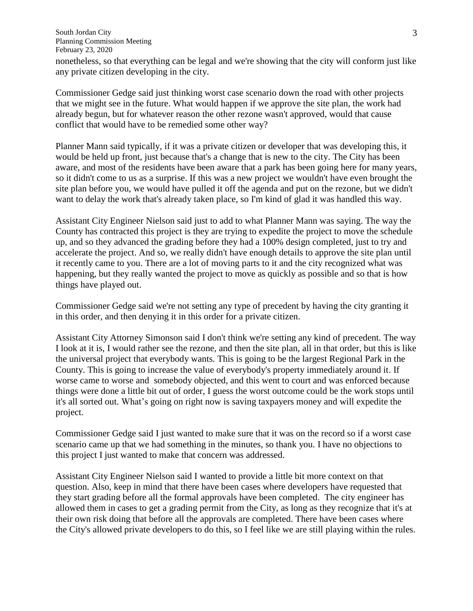South Jordan City Planning Commission Meeting February 23, 2020

nonetheless, so that everything can be legal and we're showing that the city will conform just like any private citizen developing in the city.

Commissioner Gedge said just thinking worst case scenario down the road with other projects that we might see in the future. What would happen if we approve the site plan, the work had already begun, but for whatever reason the other rezone wasn't approved, would that cause conflict that would have to be remedied some other way?

Planner Mann said typically, if it was a private citizen or developer that was developing this, it would be held up front, just because that's a change that is new to the city. The City has been aware, and most of the residents have been aware that a park has been going here for many years, so it didn't come to us as a surprise. If this was a new project we wouldn't have even brought the site plan before you, we would have pulled it off the agenda and put on the rezone, but we didn't want to delay the work that's already taken place, so I'm kind of glad it was handled this way.

Assistant City Engineer Nielson said just to add to what Planner Mann was saying. The way the County has contracted this project is they are trying to expedite the project to move the schedule up, and so they advanced the grading before they had a 100% design completed, just to try and accelerate the project. And so, we really didn't have enough details to approve the site plan until it recently came to you. There are a lot of moving parts to it and the city recognized what was happening, but they really wanted the project to move as quickly as possible and so that is how things have played out.

Commissioner Gedge said we're not setting any type of precedent by having the city granting it in this order, and then denying it in this order for a private citizen.

Assistant City Attorney Simonson said I don't think we're setting any kind of precedent. The way I look at it is, I would rather see the rezone, and then the site plan, all in that order, but this is like the universal project that everybody wants. This is going to be the largest Regional Park in the County. This is going to increase the value of everybody's property immediately around it. If worse came to worse and somebody objected, and this went to court and was enforced because things were done a little bit out of order, I guess the worst outcome could be the work stops until it's all sorted out. What's going on right now is saving taxpayers money and will expedite the project.

Commissioner Gedge said I just wanted to make sure that it was on the record so if a worst case scenario came up that we had something in the minutes, so thank you. I have no objections to this project I just wanted to make that concern was addressed.

Assistant City Engineer Nielson said I wanted to provide a little bit more context on that question. Also, keep in mind that there have been cases where developers have requested that they start grading before all the formal approvals have been completed. The city engineer has allowed them in cases to get a grading permit from the City, as long as they recognize that it's at their own risk doing that before all the approvals are completed. There have been cases where the City's allowed private developers to do this, so I feel like we are still playing within the rules.